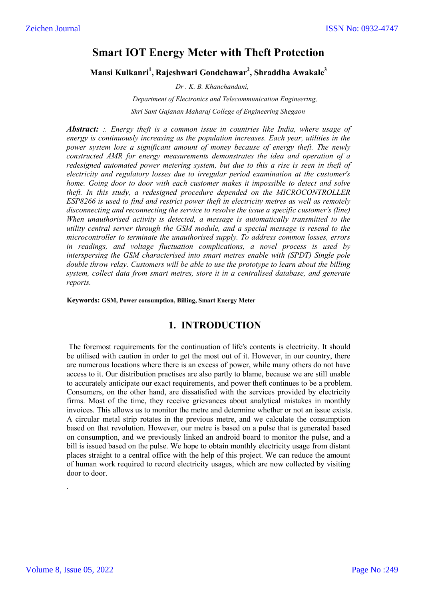# **Smart IOT Energy Meter with Theft Protection**

**Mansi Kulkanri<sup>1</sup> , Rajeshwari Gondchawar2 , Shraddha Awakale3**

*Dr . K. B. Khanchandani,*

 *Department of Electronics and Telecommunication Engineering, Shri Sant Gajanan Maharaj College of Engineering Shegaon*

*Abstract: :. Energy theft is a common issue in countries like India, where usage of energy is continuously increasing as the population increases. Each year, utilities in the power system lose a significant amount of money because of energy theft. The newly constructed AMR for energy measurements demonstrates the idea and operation of a redesigned automated power metering system, but due to this a rise is seen in theft of electricity and regulatory losses due to irregular period examination at the customer's home. Going door to door with each customer makes it impossible to detect and solve theft. In this study, a redesigned procedure depended on the MICROCONTROLLER ESP8266 is used to find and restrict power theft in electricity metres as well as remotely disconnecting and reconnecting the service to resolve the issue a specific customer's (line) When unauthorised activity is detected, a message is automatically transmitted to the utility central server through the GSM module, and a special message is resend to the microcontroller to terminate the unauthorised supply. To address common losses, errors in readings, and voltage fluctuation complications, a novel process is used by interspersing the GSM characterised into smart metres enable with (SPDT) Single pole double throw relay. Customers will be able to use the prototype to learn about the billing system, collect data from smart metres, store it in a centralised database, and generate reports.*

**Keywords: GSM, Power consumption, Billing, Smart Energy Meter**

# **1. INTRODUCTION**

The foremost requirements for the continuation of life's contents is electricity. It should be utilised with caution in order to get the most out of it. However, in our country, there are numerous locations where there is an excess of power, while many others do not have access to it. Our distribution practises are also partly to blame, because we are still unable to accurately anticipate our exact requirements, and power theft continues to be a problem. Consumers, on the other hand, are dissatisfied with the services provided by electricity firms. Most of the time, they receive grievances about analytical mistakes in monthly invoices. This allows us to monitor the metre and determine whether or not an issue exists. A circular metal strip rotates in the previous metre, and we calculate the consumption based on that revolution. However, our metre is based on a pulse that is generated based on consumption, and we previously linked an android board to monitor the pulse, and a bill is issued based on the pulse. We hope to obtain monthly electricity usage from distant places straight to a central office with the help of this project. We can reduce the amount of human work required to record electricity usages, which are now collected by visiting door to door.

.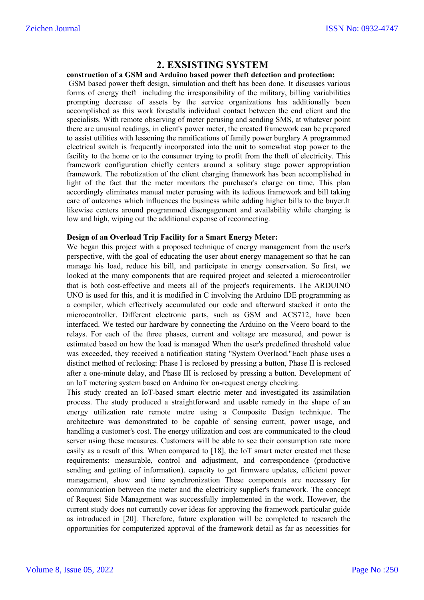# **2. EXSISTING SYSTEM**

#### **construction of a GSM and Arduino based power theft detection and protection:**

GSM based power theft design, simulation and theft has been done. It discusses various forms of energy theft including the irresponsibility of the military, billing variabilities prompting decrease of assets by the service organizations has additionally been accomplished as this work forestalls individual contact between the end client and the specialists. With remote observing of meter perusing and sending SMS, at whatever point there are unusual readings, in client's power meter, the created framework can be prepared to assist utilities with lessening the ramifications of family power burglary A programmed electrical switch is frequently incorporated into the unit to somewhat stop power to the facility to the home or to the consumer trying to profit from the theft of electricity. This framework configuration chiefly centers around a solitary stage power appropriation framework. The robotization of the client charging framework has been accomplished in light of the fact that the meter monitors the purchaser's charge on time. This plan accordingly eliminates manual meter perusing with its tedious framework and bill taking care of outcomes which influences the business while adding higher bills to the buyer.It likewise centers around programmed disengagement and availability while charging is low and high, wiping out the additional expense of reconnecting.

#### **Design of an Overload Trip Facility for a Smart Energy Meter:**

We began this project with a proposed technique of energy management from the user's perspective, with the goal of educating the user about energy management so that he can manage his load, reduce his bill, and participate in energy conservation. So first, we looked at the many components that are required project and selected a microcontroller that is both cost-effective and meets all of the project's requirements. The ARDUINO UNO is used for this, and it is modified in C involving the Arduino IDE programming as a compiler, which effectively accumulated our code and afterward stacked it onto the microcontroller. Different electronic parts, such as GSM and ACS712, have been interfaced. We tested our hardware by connecting the Arduino on the Veero board to the relays. For each of the three phases, current and voltage are measured, and power is estimated based on how the load is managed When the user's predefined threshold value was exceeded, they received a notification stating "System Overlaod."Each phase uses a distinct method of reclosing: Phase I is reclosed by pressing a button, Phase II is reclosed after a one-minute delay, and Phase III is reclosed by pressing a button. Development of an IoT metering system based on Arduino for on-request energy checking.

This study created an IoT-based smart electric meter and investigated its assimilation process. The study produced a straightforward and usable remedy in the shape of an energy utilization rate remote metre using a Composite Design technique. The architecture was demonstrated to be capable of sensing current, power usage, and handling a customer's cost. The energy utilization and cost are communicated to the cloud server using these measures. Customers will be able to see their consumption rate more easily as a result of this. When compared to [18], the IoT smart meter created met these requirements: measurable, control and adjustment, and correspondence (productive sending and getting of information). capacity to get firmware updates, efficient power management, show and time synchronization These components are necessary for communication between the meter and the electricity supplier's framework. The concept of Request Side Management was successfully implemented in the work. However, the current study does not currently cover ideas for approving the framework particular guide as introduced in [20]. Therefore, future exploration will be completed to research the opportunities for computerized approval of the framework detail as far as necessities for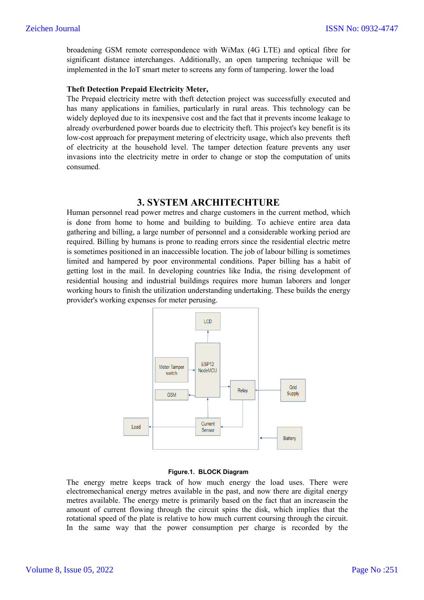broadening GSM remote correspondence with WiMax (4G LTE) and optical fibre for significant distance interchanges. Additionally, an open tampering technique will be implemented in the IoT smart meter to screens any form of tampering. lower the load

#### **Theft Detection Prepaid Electricity Meter,**

The Prepaid electricity metre with theft detection project was successfully executed and has many applications in families, particularly in rural areas. This technology can be widely deployed due to its inexpensive cost and the fact that it prevents income leakage to already overburdened power boards due to electricity theft. This project's key benefit is its low-cost approach for prepayment metering of electricity usage, which also prevents theft of electricity at the household level. The tamper detection feature prevents any user invasions into the electricity metre in order to change or stop the computation of units consumed.

## **3. SYSTEM ARCHITECHTURE**

Human personnel read power metres and charge customers in the current method, which is done from home to home and building to building. To achieve entire area data gathering and billing, a large number of personnel and a considerable working period are required. Billing by humans is prone to reading errors since the residential electric metre is sometimes positioned in an inaccessible location. The job of labour billing is sometimes limited and hampered by poor environmental conditions. Paper billing has a habit of getting lost in the mail. In developing countries like India, the rising development of residential housing and industrial buildings requires more human laborers and longer working hours to finish the utilization understanding undertaking. These builds the energy provider's working expenses for meter perusing.



#### **Figure.1. BLOCK Diagram**

The energy metre keeps track of how much energy the load uses. There were electromechanical energy metres available in the past, and now there are digital energy metres available. The energy metre is primarily based on the fact that an increasein the amount of current flowing through the circuit spins the disk, which implies that the rotational speed of the plate is relative to how much current coursing through the circuit. In the same way that the power consumption per charge is recorded by the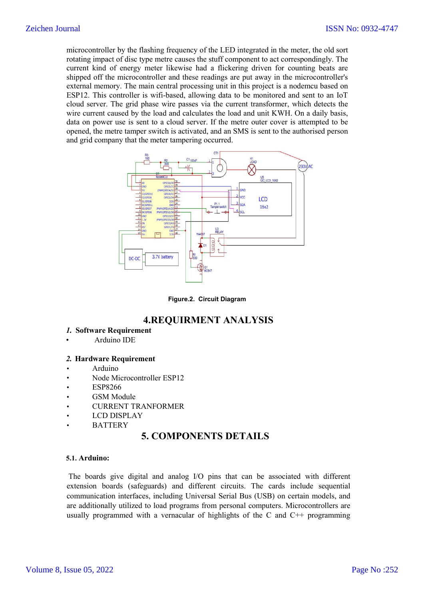microcontroller by the flashing frequency of the LED integrated in the meter, the old sort rotating impact of disc type metre causes the stuff component to act correspondingly. The current kind of energy meter likewise had a flickering driven for counting beats are shipped off the microcontroller and these readings are put away in the microcontroller's external memory. The main central processing unit in this project is a nodemcu based on ESP12. This controller is wifi-based, allowing data to be monitored and sent to an IoT cloud server. The grid phase wire passes via the current transformer, which detects the wire current caused by the load and calculates the load and unit KWH. On a daily basis, data on power use is sent to a cloud server. If the metre outer cover is attempted to be opened, the metre tamper switch is activated, and an SMS is sent to the authorised person and grid company that the meter tampering occurred.



**Figure.2. Circuit Diagram** 

# **4.REQUIRMENT ANALYSIS**

- *1.* **Software Requirement**
- Arduino IDE

#### *2.* **Hardware Requirement**

- Arduino
- Node Microcontroller ESP12
- ESP8266
- GSM Module
- CURRENT TRANFORMER
- LCD DISPLAY
- **BATTERY**

# **5. COMPONENTS DETAILS**

#### **5.1. Arduino:**

The boards give digital and analog I/O pins that can be associated with different extension boards (safeguards) and different circuits. The cards include sequential communication interfaces, including Universal Serial Bus (USB) on certain models, and are additionally utilized to load programs from personal computers. Microcontrollers are usually programmed with a vernacular of highlights of the C and  $C_{++}$  programming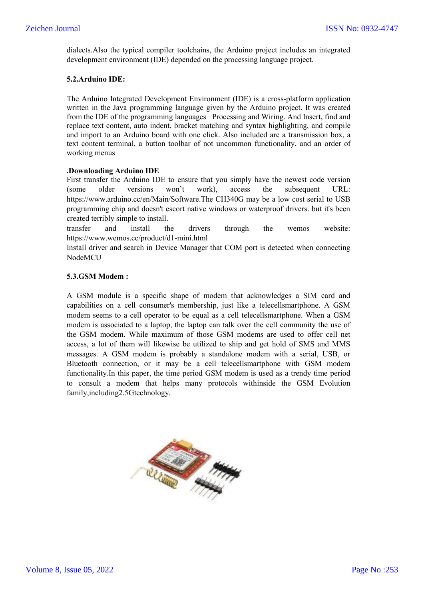dialects.Also the typical compiler toolchains, the Arduino project includes an integrated development environment (IDE) depended on the processing language project.

### **5.2.Arduino IDE:**

The Arduino Integrated Development Environment (IDE) is a cross-platform application written in the Java programming language given by the Arduino project. It was created from the IDE of the programming languages Processing and Wiring. And Insert, find and replace text content, auto indent, bracket matching and syntax highlighting, and compile and import to an Arduino board with one click. Also included are a transmission box, a text content terminal, a button toolbar of not uncommon functionality, and an order of working menus

### **.Downloading Arduino IDE**

First transfer the Arduino IDE to ensure that you simply have the newest code version (some older versions won't work), access the subsequent URL: https://www.arduino.cc/en/Main/Software.The CH340G may be a low cost serial to USB programming chip and doesn't escort native windows or waterproof drivers. but it's been created terribly simple to install.

transfer and install the drivers through the wemos website: https://www.wemos.cc/product/d1-mini.html

Install driver and search in Device Manager that COM port is detected when connecting NodeMCU

### **5.3.GSM Modem :**

A GSM module is a specific shape of modem that acknowledges a SIM card and capabilities on a cell consumer's membership, just like a telecellsmartphone. A GSM modem seems to a cell operator to be equal as a cell telecellsmartphone. When a GSM modem is associated to a laptop, the laptop can talk over the cell community the use of the GSM modem. While maximum of those GSM modems are used to offer cell net access, a lot of them will likewise be utilized to ship and get hold of SMS and MMS messages. A GSM modem is probably a standalone modem with a serial, USB, or Bluetooth connection, or it may be a cell telecellsmartphone with GSM modem functionality.In this paper, the time period GSM modem is used as a trendy time period to consult a modem that helps many protocols withinside the GSM Evolution family,including2.5Gtechnology.

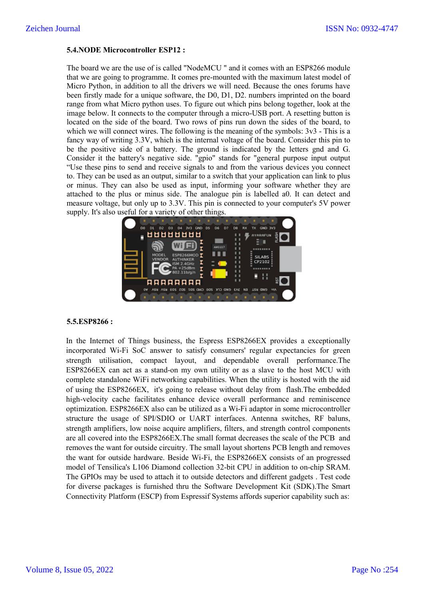### **5.4.NODE Microcontroller ESP12 :**

The board we are the use of is called "NodeMCU " and it comes with an ESP8266 module that we are going to programme. It comes pre-mounted with the maximum latest model of Micro Python, in addition to all the drivers we will need. Because the ones forums have been firstly made for a unique software, the D0, D1, D2. numbers imprinted on the board range from what Micro python uses. To figure out which pins belong together, look at the image below. It connects to the computer through a micro-USB port. A resetting button is located on the side of the board. Two rows of pins run down the sides of the board, to which we will connect wires. The following is the meaning of the symbols:  $3v3$  - This is a fancy way of writing 3.3V, which is the internal voltage of the board. Consider this pin to be the positive side of a battery. The ground is indicated by the letters gnd and G. Consider it the battery's negative side. "gpio" stands for "general purpose input output "Use these pins to send and receive signals to and from the various devices you connect to. They can be used as an output, similar to a switch that your application can link to plus or minus. They can also be used as input, informing your software whether they are attached to the plus or minus side. The analogue pin is labelled a0. It can detect and measure voltage, but only up to 3.3V. This pin is connected to your computer's 5V power supply. It's also useful for a variety of other things.



#### **5.5.ESP8266 :**

In the Internet of Things business, the Espress ESP8266EX provides a exceptionally incorporated Wi-Fi SoC answer to satisfy consumers' regular expectancies for green strength utilisation, compact layout, and dependable overall performance.The ESP8266EX can act as a stand-on my own utility or as a slave to the host MCU with complete standalone WiFi networking capabilities. When the utility is hosted with the aid of using the ESP8266EX, it's going to release without delay from flash.The embedded high-velocity cache facilitates enhance device overall performance and reminiscence optimization. ESP8266EX also can be utilized as a Wi-Fi adaptor in some microcontroller structure the usage of SPI/SDIO or UART interfaces. Antenna switches, RF baluns, strength amplifiers, low noise acquire amplifiers, filters, and strength control components are all covered into the ESP8266EX.The small format decreases the scale of the PCB and removes the want for outside circuitry. The small layout shortens PCB length and removes the want for outside hardware. Beside Wi-Fi, the ESP8266EX consists of an progressed model of Tensilica's L106 Diamond collection 32-bit CPU in addition to on-chip SRAM. The GPIOs may be used to attach it to outside detectors and different gadgets . Test code for diverse packages is furnished thru the Software Development Kit (SDK).The Smart Connectivity Platform (ESCP) from Espressif Systems affords superior capability such as: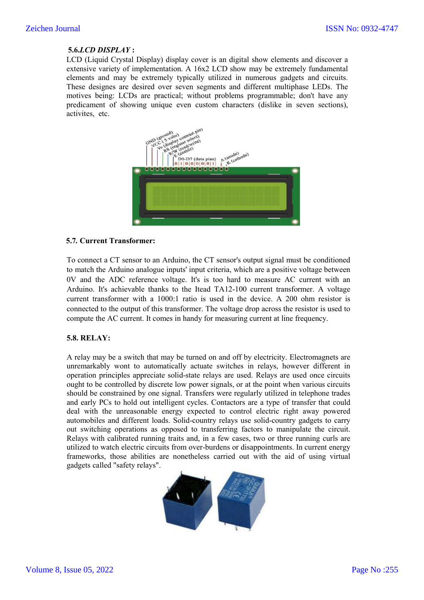### **5.6.***LCD DISPLAY* **:**

LCD (Liquid Crystal Display) display cover is an digital show elements and discover a extensive variety of implementation. A 16x2 LCD show may be extremely fundamental elements and may be extremely typically utilized in numerous gadgets and circuits. These designes are desired over seven segments and different multiphase LEDs. The motives being: LCDs are practical; without problems programmable; don't have any predicament of showing unique even custom characters (dislike in seven sections), activites, etc.



#### **5.7***.* **Current Transformer:**

To connect a CT sensor to an Arduino, the CT sensor's output signal must be conditioned to match the Arduino analogue inputs' input criteria, which are a positive voltage between 0V and the ADC reference voltage. It's is too hard to measure AC current with an Arduino. It's achievable thanks to the Itead TA12-100 current transformer. A voltage current transformer with a 1000:1 ratio is used in the device. A 200 ohm resistor is connected to the output of this transformer. The voltage drop across the resistor is used to compute the AC current. It comes in handy for measuring current at line frequency.

#### **5.8. RELAY:**

A relay may be a switch that may be turned on and off by electricity. Electromagnets are unremarkably wont to automatically actuate switches in relays, however different in operation principles appreciate solid-state relays are used. Relays are used once circuits ought to be controlled by discrete low power signals, or at the point when various circuits should be constrained by one signal. Transfers were regularly utilized in telephone trades and early PCs to hold out intelligent cycles. Contactors are a type of transfer that could deal with the unreasonable energy expected to control electric right away powered automobiles and different loads. Solid-country relays use solid-country gadgets to carry out switching operations as opposed to transferring factors to manipulate the circuit. Relays with calibrated running traits and, in a few cases, two or three running curls are utilized to watch electric circuits from over-burdens or disappointments. In current energy frameworks, those abilities are nonetheless carried out with the aid of using virtual gadgets called "safety relays".

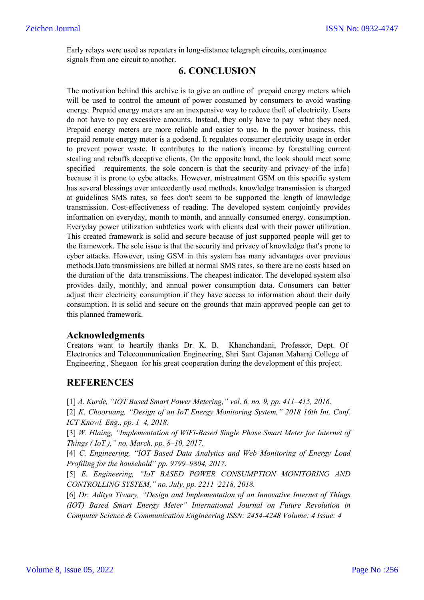Early relays were used as repeaters in long-distance telegraph circuits, continuance signals from one circuit to another.

# **6. CONCLUSION**

The motivation behind this archive is to give an outline of prepaid energy meters which will be used to control the amount of power consumed by consumers to avoid wasting energy. Prepaid energy meters are an inexpensive way to reduce theft of electricity. Users do not have to pay excessive amounts. Instead, they only have to pay what they need. Prepaid energy meters are more reliable and easier to use. In the power business, this prepaid remote energy meter is a godsend. It regulates consumer electricity usage in order to prevent power waste. It contributes to the nation's income by forestalling current stealing and rebuffs deceptive clients. On the opposite hand, the look should meet some specified requirements, the sole concern is that the security and privacy of the info because it is prone to cybe attacks. However, mistreatment GSM on this specific system has several blessings over antecedently used methods. knowledge transmission is charged at guidelines SMS rates, so fees don't seem to be supported the length of knowledge transmission. Cost-effectiveness of reading. The developed system conjointly provides information on everyday, month to month, and annually consumed energy. consumption. Everyday power utilization subtleties work with clients deal with their power utilization. This created framework is solid and secure because of just supported people will get to the framework. The sole issue is that the security and privacy of knowledge that's prone to cyber attacks. However, using GSM in this system has many advantages over previous methods.Data transmissions are billed at normal SMS rates, so there are no costs based on the duration of the data transmissions. The cheapest indicator. The developed system also provides daily, monthly, and annual power consumption data. Consumers can better adjust their electricity consumption if they have access to information about their daily consumption. It is solid and secure on the grounds that main approved people can get to this planned framework.

## **Acknowledgments**

Creators want to heartily thanks Dr. K. B. Khanchandani, Professor, Dept. Of Electronics and Telecommunication Engineering, Shri Sant Gajanan Maharaj College of Engineering , Shegaon for his great cooperation during the development of this project.

# **REFERENCES**

[1] *A. Kurde, "IOT Based Smart Power Metering," vol. 6, no. 9, pp. 411–415, 2016.*

[2] *K. Chooruang, "Design of an IoT Energy Monitoring System," 2018 16th Int. Conf. ICT Knowl. Eng., pp. 1–4, 2018.*

[3] *W. Hlaing, "Implementation of WiFi-Based Single Phase Smart Meter for Internet of Things ( IoT )," no. March, pp. 8–10, 2017.*

[4] *C. Engineering, "IOT Based Data Analytics and Web Monitoring of Energy Load Profiling for the household" pp. 9799–9804, 2017.*

[5] *E. Engineering, "IoT BASED POWER CONSUMPTION MONITORING AND CONTROLLING SYSTEM," no. July, pp. 2211–2218, 2018.*

[6] *Dr. Aditya Tiwary, "Design and Implementation of an Innovative Internet of Things (IOT) Based Smart Energy Meter" International Journal on Future Revolution in Computer Science & Communication Engineering ISSN: 2454-4248 Volume: 4 Issue: 4*